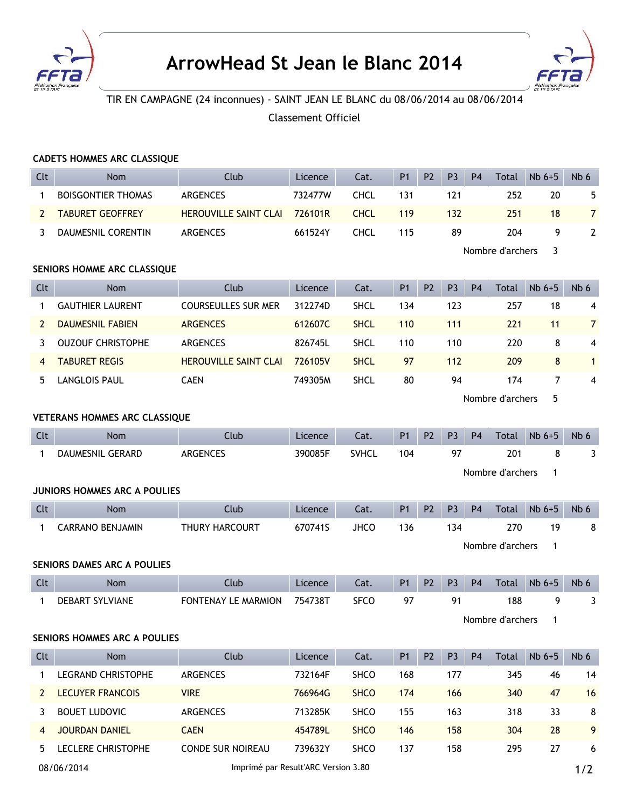



## TIR EN CAMPAGNE (24 inconnues) - SAINT JEAN LE BLANC du 08/06/2014 au 08/06/2014

Classement Officiel

## **CADETS HOMMES ARC CLASSIQUE**

| Clt            | Nom                                  | Club                         | Licence | Cat.         | <b>P1</b>      | P <sub>2</sub> | P <sub>3</sub> | P <sub>4</sub> | <b>Total</b>     | $Nb6+5$ | Nb 6            |  |  |
|----------------|--------------------------------------|------------------------------|---------|--------------|----------------|----------------|----------------|----------------|------------------|---------|-----------------|--|--|
| 1              | <b>BOISGONTIER THOMAS</b>            | <b>ARGENCES</b>              | 732477W | <b>CHCL</b>  | 131            |                | 121            |                | 252              | 20      | 5               |  |  |
| $\overline{2}$ | <b>TABURET GEOFFREY</b>              | <b>HEROUVILLE SAINT CLAI</b> | 726101R | <b>CHCL</b>  | 119            |                | 132            |                | 251              | 18      | $\overline{7}$  |  |  |
| 3              | DAUMESNIL CORENTIN                   | <b>ARGENCES</b>              | 661524Y | <b>CHCL</b>  | 115            |                | 89             |                | 204              | 9       | $\overline{2}$  |  |  |
|                |                                      |                              |         |              |                |                |                |                | Nombre d'archers | 3       |                 |  |  |
|                | SENIORS HOMME ARC CLASSIQUE          |                              |         |              |                |                |                |                |                  |         |                 |  |  |
| Clt            | Nom                                  | Club                         | Licence | Cat.         | P <sub>1</sub> | <b>P2</b>      | P <sub>3</sub> | <b>P4</b>      | Total            | $Nb6+5$ | Nb 6            |  |  |
| 1              | <b>GAUTHIER LAURENT</b>              | <b>COURSEULLES SUR MER</b>   | 312274D | <b>SHCL</b>  | 134            |                | 123            |                | 257              | 18      | 4               |  |  |
| $\overline{2}$ | <b>DAUMESNIL FABIEN</b>              | <b>ARGENCES</b>              | 612607C | <b>SHCL</b>  | 110            |                | 111            |                | 221              | 11      | $\overline{7}$  |  |  |
| 3              | <b>OUZOUF CHRISTOPHE</b>             | <b>ARGENCES</b>              | 826745L | <b>SHCL</b>  | 110            |                | 110            |                | 220              | 8       | 4               |  |  |
| 4              | <b>TABURET REGIS</b>                 | <b>HEROUVILLE SAINT CLAI</b> | 726105V | <b>SHCL</b>  | 97             |                | 112            |                | 209              | 8       | $\mathbf{1}$    |  |  |
| 5              | <b>LANGLOIS PAUL</b>                 | <b>CAEN</b>                  | 749305M | <b>SHCL</b>  | 80             |                | 94             |                | 174              | 7       | 4               |  |  |
|                |                                      |                              |         |              |                |                |                |                | Nombre d'archers | 5       |                 |  |  |
|                | <b>VETERANS HOMMES ARC CLASSIQUE</b> |                              |         |              |                |                |                |                |                  |         |                 |  |  |
| Clt            | Nom                                  | Club                         | Licence | Cat.         | <b>P1</b>      | P <sub>2</sub> | P <sub>3</sub> | <b>P4</b>      | <b>Total</b>     | $Nb6+5$ | Nb <sub>6</sub> |  |  |
| 1              | DAUMESNIL GERARD                     | <b>ARGENCES</b>              | 390085F | <b>SVHCL</b> | 104            |                | 97             |                | 201              | 8       | 3               |  |  |
|                |                                      |                              |         |              |                |                |                |                |                  |         |                 |  |  |
|                |                                      |                              |         |              |                |                |                |                | Nombre d'archers | 1       |                 |  |  |
|                | <b>JUNIORS HOMMES ARC A POULIES</b>  |                              |         |              |                |                |                |                |                  |         |                 |  |  |
| Clt            | <b>Nom</b>                           | Club                         | Licence | Cat.         | <b>P1</b>      | P <sub>2</sub> | P <sub>3</sub> | <b>P4</b>      | Total            | $Nb6+5$ | Nb 6            |  |  |
| 1              | <b>CARRANO BENJAMIN</b>              | THURY HARCOURT               | 670741S | <b>JHCO</b>  | 136            |                | 134            |                | 270              | 19      | 8               |  |  |
|                |                                      |                              |         |              |                |                |                |                | Nombre d'archers | 1       |                 |  |  |
|                | <b>SENIORS DAMES ARC A POULIES</b>   |                              |         |              |                |                |                |                |                  |         |                 |  |  |
| Clt            | <b>Nom</b>                           | Club                         | Licence | Cat.         | P1             | <b>P2</b>      | P <sub>3</sub> | <b>P4</b>      | <b>Total</b>     | $Nb6+5$ | Nb 6            |  |  |
| 1              | DEBART SYLVIANE                      | <b>FONTENAY LE MARMION</b>   | 754738T | <b>SFCO</b>  | 97             |                | 91             |                | 188              | 9       | 3               |  |  |
|                |                                      |                              |         |              |                |                |                |                | Nombre d'archers | 1       |                 |  |  |
|                | SENIORS HOMMES ARC A POULIES         |                              |         |              |                |                |                |                |                  |         |                 |  |  |
| Clt            | Nom                                  | Club                         | Licence | Cat.         | P <sub>1</sub> | P <sub>2</sub> | P <sub>3</sub> | <b>P4</b>      | Total            | $Nb6+5$ | Nb 6            |  |  |
| 1              | <b>LEGRAND CHRISTOPHE</b>            | ARGENCES                     | 732164F | SHCO         | 168            |                | 177            |                | 345              | 46      | 14              |  |  |
| 2              | <b>LECUYER FRANCOIS</b>              | <b>VIRE</b>                  | 766964G | <b>SHCO</b>  | 174            |                | 166            |                | 340              | 47      | 16              |  |  |
| 3              | <b>BOUET LUDOVIC</b>                 | ARGENCES                     | 713285K | SHCO         | 155            |                | 163            |                | 318              | 33      | 8               |  |  |
| 4              | <b>JOURDAN DANIEL</b>                | <b>CAEN</b>                  | 454789L | <b>SHCO</b>  | 146            |                | 158            |                | 304              | 28      | 9               |  |  |